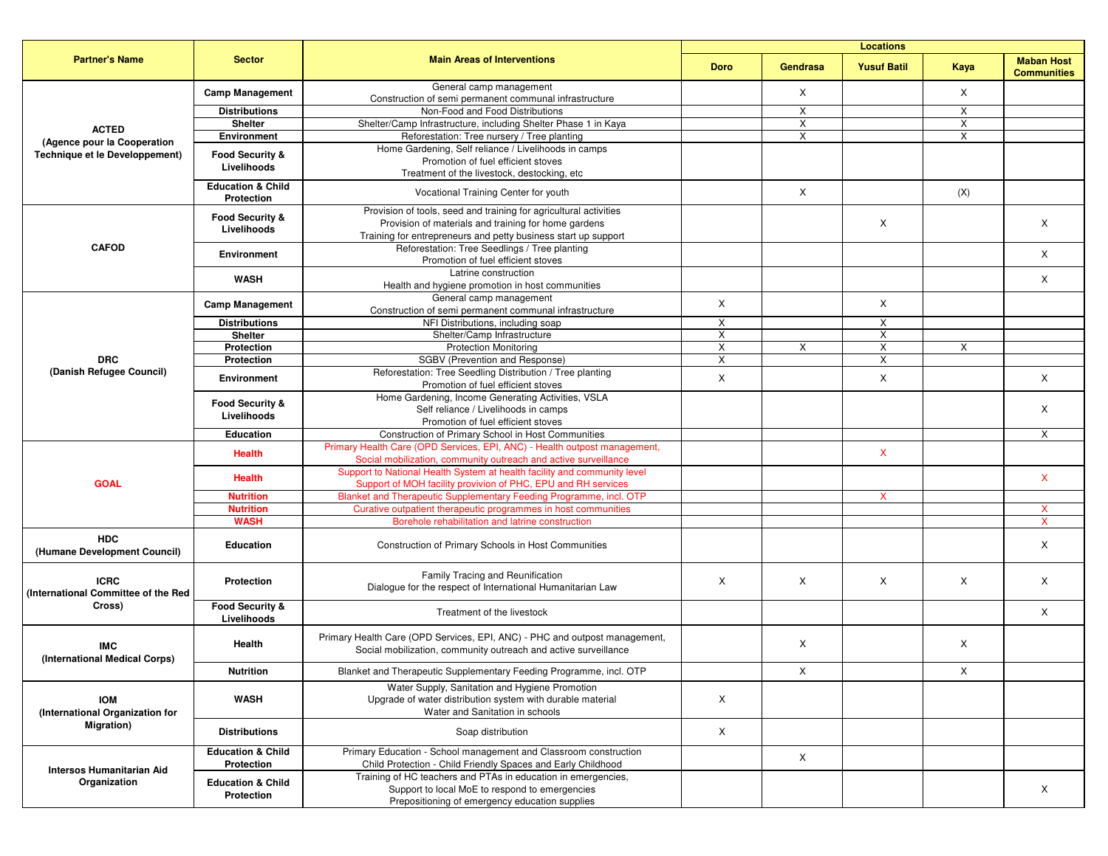| <b>Partner's Name</b>                                                | <b>Sector</b>                              | <b>Main Areas of Interventions</b>                                                                                                            | <b>Locations</b> |                 |                    |      |                                         |
|----------------------------------------------------------------------|--------------------------------------------|-----------------------------------------------------------------------------------------------------------------------------------------------|------------------|-----------------|--------------------|------|-----------------------------------------|
|                                                                      |                                            |                                                                                                                                               | <b>Doro</b>      | <b>Gendrasa</b> | <b>Yusuf Batil</b> | Kaya | <b>Maban Host</b><br><b>Communities</b> |
| <b>ACTED</b>                                                         | <b>Camp Management</b>                     | General camp management<br>Construction of semi permanent communal infrastructure                                                             |                  | X               |                    | Χ    |                                         |
|                                                                      | <b>Distributions</b>                       | Non-Food and Food Distributions                                                                                                               |                  | X               |                    | Χ    |                                         |
|                                                                      | <b>Shelter</b>                             | Shelter/Camp Infrastructure, including Shelter Phase 1 in Kaya                                                                                |                  | X               |                    | X    |                                         |
|                                                                      | Environment                                | Reforestation: Tree nursery / Tree planting                                                                                                   |                  | X               |                    | X    |                                         |
| (Agence pour la Cooperation<br><b>Technique et le Developpement)</b> | Food Security &                            | Home Gardening, Self reliance / Livelihoods in camps                                                                                          |                  |                 |                    |      |                                         |
|                                                                      | Livelihoods                                | Promotion of fuel efficient stoves                                                                                                            |                  |                 |                    |      |                                         |
|                                                                      |                                            | Treatment of the livestock, destocking, etc                                                                                                   |                  |                 |                    |      |                                         |
|                                                                      | <b>Education &amp; Child</b><br>Protection | Vocational Training Center for youth                                                                                                          |                  | X               |                    | (X)  |                                         |
|                                                                      |                                            | Provision of tools, seed and training for agricultural activities                                                                             |                  |                 |                    |      |                                         |
|                                                                      | <b>Food Security &amp;</b>                 | Provision of materials and training for home gardens                                                                                          |                  |                 | X                  |      | X                                       |
|                                                                      | Livelihoods                                | Training for entrepreneurs and petty business start up support                                                                                |                  |                 |                    |      |                                         |
| <b>CAFOD</b>                                                         |                                            | Reforestation: Tree Seedlings / Tree planting                                                                                                 |                  |                 |                    |      |                                         |
|                                                                      | Environment                                | Promotion of fuel efficient stoves                                                                                                            |                  |                 |                    |      | X                                       |
|                                                                      |                                            | Latrine construction                                                                                                                          |                  |                 |                    |      |                                         |
|                                                                      | <b>WASH</b>                                | Health and hygiene promotion in host communities                                                                                              |                  |                 |                    |      | X                                       |
|                                                                      |                                            | General camp management                                                                                                                       |                  |                 |                    |      |                                         |
|                                                                      | <b>Camp Management</b>                     | Construction of semi permanent communal infrastructure                                                                                        | X                |                 | X                  |      |                                         |
|                                                                      | <b>Distributions</b>                       | NFI Distributions, including soap                                                                                                             | X                |                 | X                  |      |                                         |
|                                                                      | <b>Shelter</b>                             | Shelter/Camp Infrastructure                                                                                                                   | Χ                |                 | X                  |      |                                         |
|                                                                      | Protection                                 | <b>Protection Monitoring</b>                                                                                                                  | X                | Χ               | X                  | X    |                                         |
| <b>DRC</b>                                                           | Protection                                 | SGBV (Prevention and Response)                                                                                                                | X                |                 | X                  |      |                                         |
| (Danish Refugee Council)                                             |                                            | Reforestation: Tree Seedling Distribution / Tree planting                                                                                     |                  |                 |                    |      |                                         |
|                                                                      | <b>Environment</b>                         | Promotion of fuel efficient stoves                                                                                                            | X                |                 | X                  |      | X                                       |
|                                                                      | Food Security &                            | Home Gardening, Income Generating Activities, VSLA                                                                                            |                  |                 |                    |      |                                         |
|                                                                      | Livelihoods                                | Self reliance / Livelihoods in camps                                                                                                          |                  |                 |                    |      | Χ                                       |
|                                                                      |                                            | Promotion of fuel efficient stoves                                                                                                            |                  |                 |                    |      |                                         |
|                                                                      | <b>Education</b>                           | Construction of Primary School in Host Communities                                                                                            |                  |                 |                    |      | X                                       |
| <b>GOAL</b>                                                          | <b>Health</b>                              | Primary Health Care (OPD Services, EPI, ANC) - Health outpost management,<br>Social mobilization, community outreach and active surveillance  |                  |                 | X                  |      |                                         |
|                                                                      | <b>Health</b>                              | Support to National Health System at health facility and community level<br>Support of MOH facility provivion of PHC, EPU and RH services     |                  |                 |                    |      | $\mathsf{X}$                            |
|                                                                      | <b>Nutrition</b>                           | Blanket and Therapeutic Supplementary Feeding Programme, incl. OTP                                                                            |                  |                 | X                  |      |                                         |
|                                                                      | <b>Nutrition</b>                           | Curative outpatient therapeutic programmes in host communities                                                                                |                  |                 |                    |      |                                         |
|                                                                      | <b>WASH</b>                                | Borehole rehabilitation and latrine construction                                                                                              |                  |                 |                    |      |                                         |
| <b>HDC</b>                                                           |                                            |                                                                                                                                               |                  |                 |                    |      |                                         |
| (Humane Development Council)                                         | <b>Education</b>                           | Construction of Primary Schools in Host Communities                                                                                           |                  |                 |                    |      | X                                       |
| <b>ICRC</b><br>(International Committee of the Red<br>Cross)         | Protection                                 | Family Tracing and Reunification                                                                                                              |                  |                 |                    |      |                                         |
|                                                                      |                                            | Dialogue for the respect of International Humanitarian Law                                                                                    | $\times$         | Χ               | X                  | X    | X                                       |
|                                                                      | Food Security &<br>Livelihoods             | Treatment of the livestock                                                                                                                    |                  |                 |                    |      | X                                       |
| <b>IMC</b><br>(International Medical Corps)                          | Health                                     | Primary Health Care (OPD Services, EPI, ANC) - PHC and outpost management,<br>Social mobilization, community outreach and active surveillance |                  | Χ               |                    | X    |                                         |
|                                                                      | <b>Nutrition</b>                           | Blanket and Therapeutic Supplementary Feeding Programme, incl. OTP                                                                            |                  | Χ               |                    | Χ    |                                         |
|                                                                      |                                            | Water Supply, Sanitation and Hygiene Promotion                                                                                                |                  |                 |                    |      |                                         |
| <b>IOM</b><br>(International Organization for<br>Migration)          | <b>WASH</b>                                | Upgrade of water distribution system with durable material<br>Water and Sanitation in schools                                                 | X                |                 |                    |      |                                         |
|                                                                      | <b>Distributions</b>                       | Soap distribution                                                                                                                             | X                |                 |                    |      |                                         |
| <b>Intersos Humanitarian Aid</b><br>Organization                     | <b>Education &amp; Child</b><br>Protection | Primary Education - School management and Classroom construction<br>Child Protection - Child Friendly Spaces and Early Childhood              |                  | X               |                    |      |                                         |
|                                                                      |                                            | Training of HC teachers and PTAs in education in emergencies,                                                                                 |                  |                 |                    |      |                                         |
|                                                                      | <b>Education &amp; Child</b>               | Support to local MoE to respond to emergencies                                                                                                |                  |                 |                    |      | X                                       |
|                                                                      | Protection                                 | Prepositioning of emergency education supplies                                                                                                |                  |                 |                    |      |                                         |